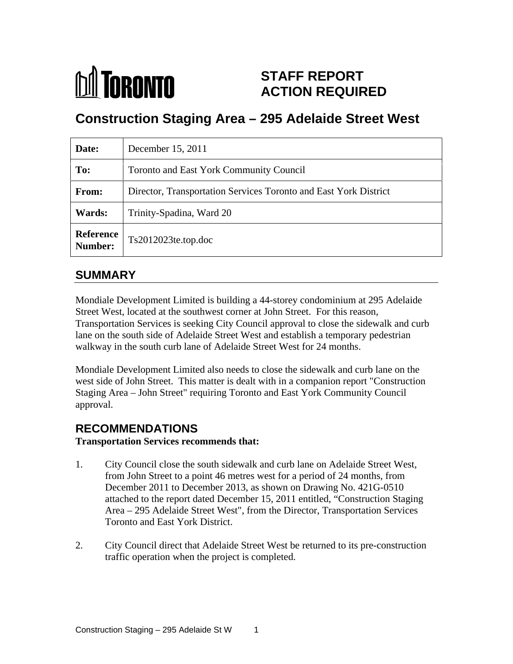

# **STAFF REPORT ACTION REQUIRED**

# **Construction Staging Area – 295 Adelaide Street West**

| Date:          | December 15, 2011                                                |
|----------------|------------------------------------------------------------------|
| To:            | Toronto and East York Community Council                          |
| From:          | Director, Transportation Services Toronto and East York District |
| <b>Wards:</b>  | Trinity-Spadina, Ward 20                                         |
| <b>Number:</b> | Reference   Ts2012023te.top.doc                                  |

# **SUMMARY**

Mondiale Development Limited is building a 44-storey condominium at 295 Adelaide Street West, located at the southwest corner at John Street. For this reason, Transportation Services is seeking City Council approval to close the sidewalk and curb lane on the south side of Adelaide Street West and establish a temporary pedestrian walkway in the south curb lane of Adelaide Street West for 24 months.

Mondiale Development Limited also needs to close the sidewalk and curb lane on the west side of John Street. This matter is dealt with in a companion report "Construction Staging Area – John Street" requiring Toronto and East York Community Council approval.

# **RECOMMENDATIONS**

#### **Transportation Services recommends that:**

- 1. City Council close the south sidewalk and curb lane on Adelaide Street West, from John Street to a point 46 metres west for a period of 24 months, from December 2011 to December 2013, as shown on Drawing No. 421G-0510 attached to the report dated December 15, 2011 entitled, "Construction Staging Area – 295 Adelaide Street West", from the Director, Transportation Services Toronto and East York District.
- 2. City Council direct that Adelaide Street West be returned to its pre-construction traffic operation when the project is completed.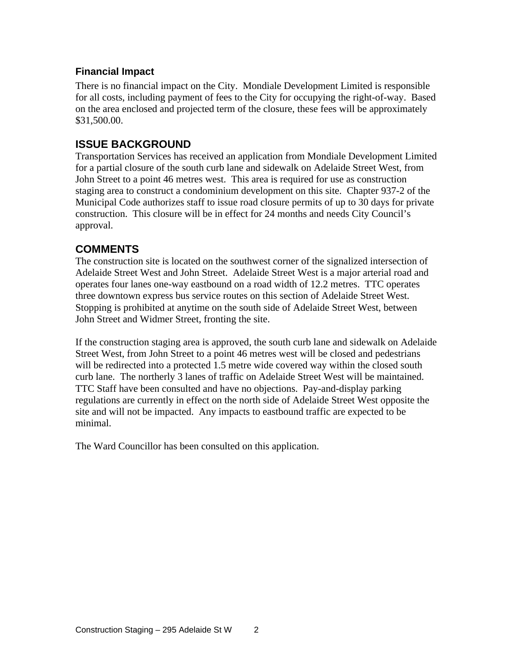#### **Financial Impact**

There is no financial impact on the City. Mondiale Development Limited is responsible for all costs, including payment of fees to the City for occupying the right-of-way. Based on the area enclosed and projected term of the closure, these fees will be approximately  $\$31,500.00.$ 

## **ISSUE BACKGROUND**

Transportation Services has received an application from Mondiale Development Limited for a partial closure of the south curb lane and sidewalk on Adelaide Street West, from John Street to a point 46 metres west. This area is required for use as construction staging area to construct a condominium development on this site. Chapter 937-2 of the Municipal Code authorizes staff to issue road closure permits of up to 30 days for private construction. This closure will be in effect for 24 months and needs City Council's approval.

# **COMMENTS**

The construction site is located on the southwest corner of the signalized intersection of Adelaide Street West and John Street. Adelaide Street West is a major arterial road and operates four lanes one-way eastbound on a road width of 12.2 metres. TTC operates three downtown express bus service routes on this section of Adelaide Street West. Stopping is prohibited at anytime on the south side of Adelaide Street West, between John Street and Widmer Street, fronting the site.

If the construction staging area is approved, the south curb lane and sidewalk on Adelaide Street West, from John Street to a point 46 metres west will be closed and pedestrians will be redirected into a protected 1.5 metre wide covered way within the closed south curb lane. The northerly 3 lanes of traffic on Adelaide Street West will be maintained. TTC Staff have been consulted and have no objections. Pay-and-display parking regulations are currently in effect on the north side of Adelaide Street West opposite the site and will not be impacted. Any impacts to eastbound traffic are expected to be minimal.

The Ward Councillor has been consulted on this application.